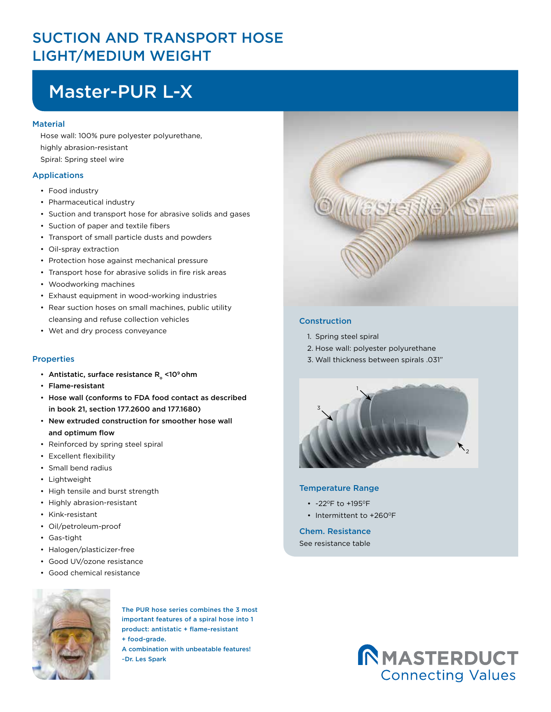### SUCTION AND TRANSPORT HOSE LIGHT/MEDIUM WEIGHT

# Master-PUR L-X

#### **Material**

Hose wall: 100% pure polyester polyurethane, highly abrasion-resistant Spiral: Spring steel wire

#### Applications

- Food industry
- Pharmaceutical industry
- Suction and transport hose for abrasive solids and gases
- Suction of paper and textile fibers
- Transport of small particle dusts and powders
- Oil-spray extraction
- Protection hose against mechanical pressure
- Transport hose for abrasive solids in fire risk areas
- Woodworking machines
- Exhaust equipment in wood-working industries
- Rear suction hoses on small machines, public utility cleansing and refuse collection vehicles
- Wet and dry process conveyance

#### Properties

- Antistatic, surface resistance  $R_{\alpha}$  <10<sup>9</sup> ohm
- Flame-resistant
- Hose wall (conforms to FDA food contact as described in book 21, section 177.2600 and 177.1680)
- New extruded construction for smoother hose wall and optimum flow
- Reinforced by spring steel spiral
- Excellent flexibility
- Small bend radius
- Lightweight
- High tensile and burst strength
- Highly abrasion-resistant
- Kink-resistant
- Oil/petroleum-proof
- Gas-tight
- Halogen/plasticizer-free
- Good UV/ozone resistance
- Good chemical resistance



#### Construction

- 1. Spring steel spiral
- 2. Hose wall: polyester polyurethane
- 3. Wall thickness between spirals .031"



#### Temperature Range

- -22°F to +195°F
- Intermittent to +260°F

#### Chem. Resistance

See resistance table



The PUR hose series combines the 3 most important features of a spiral hose into 1 product: antistatic + flame-resistant + food-grade.

A combination with unbeatable features! ~Dr. Les Spark